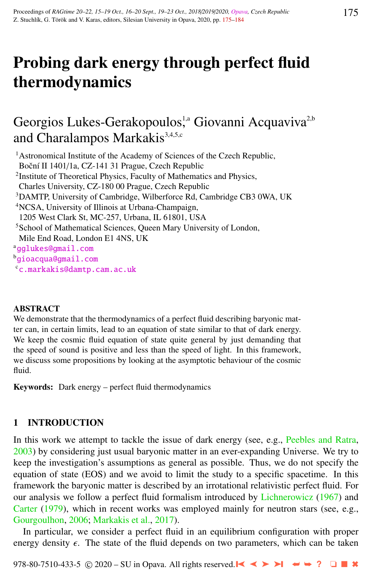# Probing dark energy through perfect fluid thermodynamics

# Georgios Lukes-Gerakopoulos,<sup>1,a</sup> Giovanni Acquaviva<sup>2,b</sup> and Charalampos Markakis<sup>3,4,5,c</sup>

<sup>1</sup> Astronomical Institute of the Academy of Sciences of the Czech Republic,

Boční II 1401/1a, CZ-141 31 Prague, Czech Republic

<sup>2</sup> Institute of Theoretical Physics, Faculty of Mathematics and Physics,

Charles University, CZ-180 00 Prague, Czech Republic

<sup>3</sup>DAMTP, University of Cambridge, Wilberforce Rd, Cambridge CB3 0WA, UK

<sup>4</sup>NCSA, University of Illinois at Urbana-Champaign,

1205 West Clark St, MC-257, Urbana, IL 61801, USA

<sup>5</sup>School of Mathematical Sciences, Queen Mary University of London,

Mile End Road, London E1 4NS, UK

<sup>a</sup>[gglukes@gmail.com](http://www.physics.cz/ gglukes@gmail.com)

<sup>b</sup>[gioacqua@gmail.com](http://www.physics.cz/ gioacqua@gmail.com)

<sup>c</sup>[c.markakis@damtp.cam.ac.uk](http://www.physics.cz/ c.markakis@damtp.cam.ac.uk)

# **ABSTRACT**

We demonstrate that the thermodynamics of a perfect fluid describing baryonic matter can, in certain limits, lead to an equation of state similar to that of dark energy. We keep the cosmic fluid equation of state quite general by just demanding that the speed of sound is positive and less than the speed of light. In this framework, we discuss some propositions by looking at the asymptotic behaviour of the cosmic fluid.

Keywords: Dark energy – perfect fluid thermodynamics

# 1 INTRODUCTION

In this work we attempt to tackle the issue of dark energy (see, e.g., [Peebles and Ratra,](#page-9-0) [2003\)](#page-9-0) by considering just usual baryonic matter in an ever-expanding Universe. We try to keep the investigation's assumptions as general as possible. Thus, we do not specify the equation of state (EOS) and we avoid to limit the study to a specific spacetime. In this framework the baryonic matter is described by an irrotational relativistic perfect fluid. For our analysis we follow a perfect fluid formalism introduced by [Lichnerowicz](#page-9-0) [\(1967\)](#page-9-0) and [Carter](#page-9-0) [\(1979\)](#page-9-0), which in recent works was employed mainly for neutron stars (see, e.g., [Gourgoulhon,](#page-9-0) [2006;](#page-9-0) [Markakis et al.,](#page-9-0) [2017\)](#page-9-0).

In particular, we consider a perfect fluid in an equilibrium configuration with proper energy density  $\epsilon$ . The state of the fluid depends on two parameters, which can be taken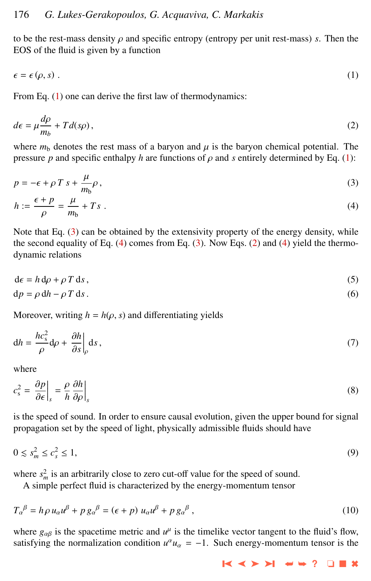<span id="page-1-0"></span>to be the rest-mass density  $\rho$  and specific entropy (entropy per unit rest-mass) *s*. Then the EOS of the fluid is given by a function

$$
\epsilon = \epsilon(\rho, s) \tag{1}
$$

From Eq. (1) one can derive the first law of thermodynamics:

$$
d\epsilon = \mu \frac{d\rho}{m_b} + T d(s\rho),\tag{2}
$$

where  $m_b$  denotes the rest mass of a baryon and  $\mu$  is the baryon chemical potential. The pressure *p* and specific enthalpy *h* are functions of  $\rho$  and *s* entirely determined by Eq. (1):

$$
p = -\epsilon + \rho \, T \, s + \frac{\mu}{m_b} \rho \,,\tag{3}
$$

$$
h := \frac{\epsilon + p}{\rho} = \frac{\mu}{m_b} + Ts \tag{4}
$$

Note that Eq. (3) can be obtained by the extensivity property of the energy density, while the second equality of Eq.  $(4)$  comes from Eq.  $(3)$ . Now Eqs.  $(2)$  and  $(4)$  yield the thermodynamic relations

$$
d\epsilon = h d\rho + \rho T ds,
$$
\n(5)

$$
dp = \rho \, dh - \rho \, T \, ds. \tag{6}
$$

Moreover, writing  $h = h(\rho, s)$  and differentiating yields

$$
dh = \frac{hc_s^2}{\rho} d\rho + \frac{\partial h}{\partial s}\Big|_{\rho} ds,
$$
\n(7)

where

$$
c_s^2 = \left. \frac{\partial p}{\partial \epsilon} \right|_s = \frac{\rho}{h} \left. \frac{\partial h}{\partial \rho} \right|_s \tag{8}
$$

is the speed of sound. In order to ensure causal evolution, given the upper bound for signal propagation set by the speed of light, physically admissible fluids should have

$$
0 \lesssim s_m^2 \le c_s^2 \le 1,\tag{9}
$$

where  $s_m^2$  is an arbitrarily close to zero cut-off value for the speed of sound.

A simple perfect fluid is characterized by the energy-momentum tensor

$$
T_{\alpha}{}^{\beta} = h \rho u_{\alpha} u^{\beta} + p g_{\alpha}{}^{\beta} = (\epsilon + p) u_{\alpha} u^{\beta} + p g_{\alpha}{}^{\beta} , \qquad (10)
$$

where  $g_{\alpha\beta}$  is the spacetime metric and  $u^{\mu}$  is the timelike vector tangent to the fluid's flow,<br>cationization the normalization condition  $u^{\alpha}$ .  $= -1$ . Such operaty momentum tangen is the satisfying the normalization condition  $u^{\alpha}u_{\alpha} = -1$ . Such energy-momentum tensor is the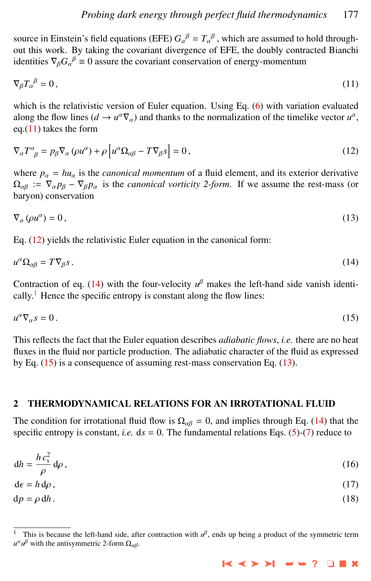<span id="page-2-0"></span>source in Einstein's field equations (EFE)  $G_{\alpha}{}^{\beta} = T_{\alpha}{}^{\beta}$ , which are assumed to hold through-<br>out this work. By taking the coverient divergence of EEE, the doubly contracted Bianchi out this work. By taking the covariant divergence of EFE, the doubly contracted Bianchi identities  $\nabla_{\beta} G_{\alpha}{}^{\beta} \equiv 0$  assure the covariant conservation of energy-momentum

$$
\nabla_{\beta} T_{\alpha}{}^{\beta} = 0, \tag{11}
$$

which is the relativistic version of Euler equation. Using Eq. [\(6\)](#page-1-0) with variation evaluated along the flow lines ( $d \rightarrow u^{\alpha} \nabla_{\alpha}$ ) and thanks to the normalization of the timelike vector  $u^{\alpha}$ , eq.(11) takes the form

$$
\nabla_{\alpha} T^{\alpha}_{\ \beta} = p_{\beta} \nabla_{\alpha} (\rho u^{\alpha}) + \rho \left[ u^{\alpha} \Omega_{\alpha\beta} - T \nabla_{\beta} s \right] = 0, \tag{12}
$$

where  $p_{\alpha} = hu_{\alpha}$  is the *canonical momentum* of a fluid element, and its exterior derivative  $\Omega_{\alpha\beta}$  :=  $\nabla_{\alpha} p_{\beta} - \nabla_{\beta} p_{\alpha}$  is the *canonical vorticity 2-form*. If we assume the rest-mass (or baryon) conservation

$$
\nabla_{\alpha} (\rho u^{\alpha}) = 0, \qquad (13)
$$

Eq. (12) yields the relativistic Euler equation in the canonical form:

$$
u^{\alpha}\Omega_{\alpha\beta} = T\nabla_{\beta} s. \tag{14}
$$

Contraction of eq. (14) with the four-velocity  $u^{\beta}$  makes the left-hand side vanish identically.<sup>1</sup> Hence the specific entropy is constant along the flow lines:

$$
u^{\alpha}\nabla_{\alpha}s = 0. \tag{15}
$$

This reflects the fact that the Euler equation describes *adiabatic flows*, *i.e.* there are no heat fluxes in the fluid nor particle production. The adiabatic character of the fluid as expressed by Eq. (15) is a consequence of assuming rest-mass conservation Eq. (13).

### 2 THERMODYNAMICAL RELATIONS FOR AN IRROTATIONAL FLUID

The condition for irrotational fluid flow is  $\Omega_{\alpha\beta} = 0$ , and implies through Eq. (14) that the specific entropy is constant, *i.e.*  $ds = 0$ . The fundamental relations Eqs. [\(5\)](#page-1-0)-[\(7\)](#page-1-0) reduce to

$$
dh = \frac{hc_s^2}{\rho} d\rho, \qquad (16)
$$

$$
d\epsilon = h \, d\rho \,,\tag{17}
$$

$$
dp = \rho dh. \tag{18}
$$

<sup>&</sup>lt;sup>1</sup> This is because the left-hand side, after contraction with  $u^{\beta}$ , ends up being a product of the symmetric term  $u^{\alpha} u^{\beta}$  with the antisymmetric 2-form  $\Omega_{\alpha\beta}$ .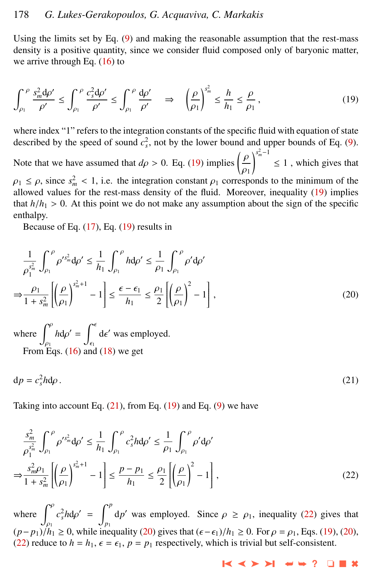<span id="page-3-0"></span>Using the limits set by Eq.  $(9)$  and making the reasonable assumption that the rest-mass density is a positive quantity, since we consider fluid composed only of baryonic matter, we arrive through Eq. [\(16\)](#page-2-0) to

$$
\int_{\rho_1}^{\rho} \frac{s_m^2 \mathrm{d} \rho'}{\rho'} \le \int_{\rho_1}^{\rho} \frac{c_s^2 \mathrm{d} \rho'}{\rho'} \le \int_{\rho_1}^{\rho} \frac{\mathrm{d} \rho'}{\rho'} \quad \Rightarrow \quad \left(\frac{\rho}{\rho_1}\right)^{s_m^2} \le \frac{h}{h_1} \le \frac{\rho}{\rho_1},\tag{19}
$$

where index "1" refers to the integration constants of the specific fluid with equation of state described by the speed of sound  $c_s^2$ , not by the lower bound and upper bounds of Eq. [\(9\)](#page-1-0).

Note that we have assumed that  $d\rho > 0$ . Eq. (19) implies  $\left(\frac{\rho}{\rho}\right)$  $\rho_1 \leq \rho$ , since  $s_m^2 < 1$ , i.e. the integration constant  $\rho_1$  corresponds to the minimum of the allowed values for the rest-mass density of the fluid. Moreover, inequality (19) implies  $\sum_{m=1}^{3}$  $\leq 1$ , which gives that allowed values for the rest-mass density of the fluid. Moreover, inequality (19) implies that  $h/h_1 > 0$ . At this point we do not make any assumption about the sign of the specific enthalpy.

Because of Eq. [\(17\)](#page-2-0), Eq. (19) results in

$$
\frac{1}{\rho_1^{s_m^2}} \int_{\rho_1}^{\rho} \rho'^{s_m^2} d\rho' \le \frac{1}{h_1} \int_{\rho_1}^{\rho} h d\rho' \le \frac{1}{\rho_1} \int_{\rho_1}^{\rho} \rho' d\rho'
$$

$$
\Rightarrow \frac{\rho_1}{1 + s_m^2} \left[ \left( \frac{\rho}{\rho_1} \right)^{s_m^2 + 1} - 1 \right] \le \frac{\epsilon - \epsilon_1}{h_1} \le \frac{\rho_1}{2} \left[ \left( \frac{\rho}{\rho_1} \right)^2 - 1 \right],
$$
(20)

where  $\int_{\rho_1}^{\rho} h d\rho' = \int_{\epsilon_1}^{\epsilon} d\epsilon'$  was employed. From Eqs. [\(16\)](#page-2-0) and [\(18\)](#page-2-0) we get

$$
dp = c_s^2 h d\rho. \tag{21}
$$

Taking into account Eq.  $(21)$ , from Eq.  $(19)$  and Eq.  $(9)$  we have

$$
\frac{s_m^2}{\rho_1^{s_m^2}} \int_{\rho_1}^{\rho} \rho'^{s_m^2} d\rho' \le \frac{1}{h_1} \int_{\rho_1}^{\rho} c_s^2 h d\rho' \le \frac{1}{\rho_1} \int_{\rho_1}^{\rho} \rho' d\rho'
$$
  

$$
\Rightarrow \frac{s_m^2 \rho_1}{1 + s_m^2} \left[ \left( \frac{\rho}{\rho_1} \right)^{s_m^2 + 1} - 1 \right] \le \frac{p - p_1}{h_1} \le \frac{\rho_1}{2} \left[ \left( \frac{\rho}{\rho_1} \right)^2 - 1 \right],
$$
 (22)

where  $\int_{\rho_1}^{\rho} c_s^2 h d\rho' = \int_{\rho_1}^{\rho}$  $(p-p_1)/h_1 \ge 0$ , while inequality (20) gives that  $(\epsilon - \epsilon_1)/h_1 \ge 0$ . For  $\rho = \rho_1$ , Eqs. (19), (20), (20), (20),  $(20)$  reduce to  $h = h_1$ ,  $\epsilon = \epsilon_1$ ,  $p = p_1$  respectively, which is trivial but self-consistent *p*1 d*p*<sup>'</sup> was employed. Since  $\rho \ge \rho_1$ , inequality (22) gives that (22) reduce to  $h = h_1$ ,  $\epsilon = \epsilon_1$ ,  $p = p_1$  respectively, which is trivial but self-consistent.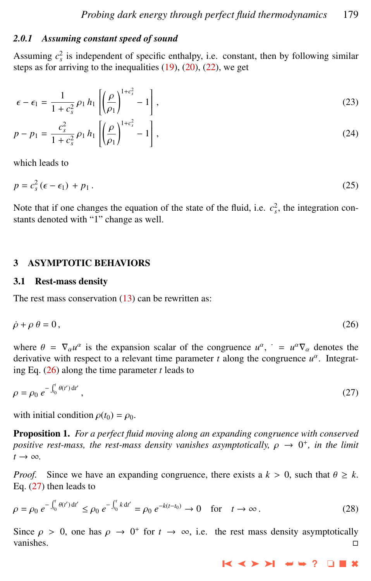### <span id="page-4-0"></span>*2.0.1 Assuming constant speed of sound*

Assuming  $c_s^2$  is independent of specific enthalpy, i.e. constant, then by following similar steps as for arriving to the inequalities  $(19)$ ,  $(20)$ ,  $(22)$ , we get

$$
\epsilon - \epsilon_1 = \frac{1}{1 + c_s^2} \rho_1 h_1 \left[ \left( \frac{\rho}{\rho_1} \right)^{1 + c_s^2} - 1 \right],\tag{23}
$$

$$
p - p_1 = \frac{c_s^2}{1 + c_s^2} \rho_1 h_1 \left[ \left( \frac{\rho}{\rho_1} \right)^{1 + c_s^2} - 1 \right],
$$
 (24)

which leads to

$$
p = c_s^2 (\epsilon - \epsilon_1) + p_1 \,. \tag{25}
$$

Note that if one changes the equation of the state of the fluid, i.e.  $c_s^2$ , the integration constants denoted with "1" change as well.

# 3 ASYMPTOTIC BEHAVIORS

#### 3.1 Rest-mass density

The rest mass conservation  $(13)$  can be rewritten as:

$$
\dot{\rho} + \rho \theta = 0, \tag{26}
$$

where  $\theta = \nabla_{\alpha} u^{\alpha}$  is the expansion scalar of the congruence  $u^{\alpha}$ ,  $= u^{\alpha} \nabla_{\alpha}$  denotes the derivative with respect to a relevant time parameter t along the congruence  $u^{\alpha}$ . Integration derivative with respect to a relevant time parameter  $t$  along the congruence  $u^{\alpha}$ . Integrating Eq. (26) along the time parameter *t* leads to

$$
\rho = \rho_0 \ e^{-\int_{t_0}^t \theta(t') dt'}, \tag{27}
$$

with initial condition  $\rho(t_0) = \rho_0$ .

Proposition 1. *For a perfect fluid moving along an expanding congruence with conserved positive rest-mass, the rest-mass density vanishes asymptotically,*  $\rho \rightarrow 0^+$ *, in the limit*  $t \rightarrow \infty$  $t \rightarrow \infty$ .

*Proof.* Since we have an expanding congruence, there exists a  $k > 0$ , such that  $\theta \geq k$ . Eq. (27) then leads to

$$
\rho = \rho_0 \ e^{-\int_{t_0}^t \theta(t') dt'} \le \rho_0 \ e^{-\int_{t_0}^t k dt'} = \rho_0 \ e^{-k(t-t_0)} \to 0 \quad \text{for} \quad t \to \infty \,. \tag{28}
$$

Since  $\rho > 0$ , one has  $\rho \to 0^+$  for  $t \to \infty$ , i.e. the rest mass density asymptotically vanishes.  $\square$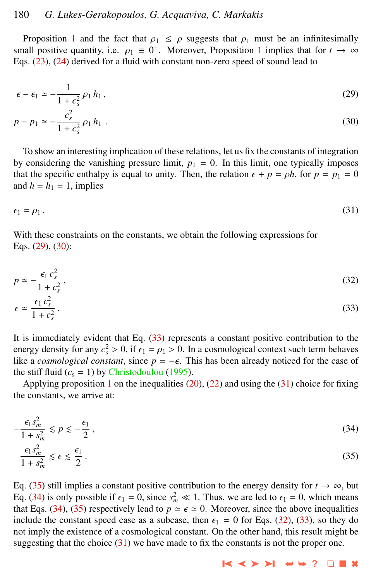# 180 *G. Lukes-Gerakopoulos, G. Acquaviva, C. Markakis*

Proposition [1](#page-4-0) and the fact that  $\rho_1 \leq \rho$  suggests that  $\rho_1$  must be an infinitesimally small positive quantity, i.e.  $\rho_1 \equiv 0^+$  $\rho_1 \equiv 0^+$  $\rho_1 \equiv 0^+$ . Moreover, Proposition 1 implies that for  $t \to \infty$ <br>Eqs. (23) (24) derived for a fluid with constant non-zero speed of sound lead to Eqs. [\(23\)](#page-4-0), [\(24\)](#page-4-0) derived for a fluid with constant non-zero speed of sound lead to

$$
\epsilon - \epsilon_1 \simeq -\frac{1}{1 + c_s^2} \rho_1 h_1, \tag{29}
$$

$$
p - p_1 \simeq -\frac{c_s^2}{1 + c_s^2} \rho_1 h_1 \tag{30}
$$

To show an interesting implication of these relations, let us fix the constants of integration by considering the vanishing pressure limit,  $p_1 = 0$ . In this limit, one typically imposes that the specific enthalpy is equal to unity. Then, the relation  $\epsilon + p = \rho h$ , for  $p = p_1 = 0$ and  $h = h_1 = 1$ , implies

$$
\epsilon_1 = \rho_1 \,. \tag{31}
$$

With these constraints on the constants, we obtain the following expressions for Eqs. (29), (30):

$$
p \simeq -\frac{\epsilon_1 c_s^2}{1 + c_s^2},\tag{32}
$$

$$
\epsilon \simeq \frac{\epsilon_1 c_s}{1 + c_s^2} \,. \tag{33}
$$

It is immediately evident that Eq. (33) represents a constant positive contribution to the energy density for any  $c_s^2 > 0$ , if  $\epsilon_1 = \rho_1 > 0$ . In a cosmological context such term behaves<br>like a cosmological constant, since  $n = -\epsilon$ . This has been already noticed for the case of like a *cosmological constant*, since  $p = -\epsilon$ . This has been already noticed for the case of the stiff fluid  $(c_s = 1)$  by [Christodoulou](#page-9-0) [\(1995\)](#page-9-0).

Applying proposition [1](#page-4-0) on the inequalities  $(20)$ ,  $(22)$  and using the  $(31)$  choice for fixing the constants, we arrive at:

$$
-\frac{\epsilon_1 s_m^2}{1+s_m^2} \lesssim p \lesssim -\frac{\epsilon_1}{2},\tag{34}
$$

$$
\frac{\epsilon_1 s_m^2}{1 + s_m^2} \lesssim \epsilon \lesssim \frac{\epsilon_1}{2} \,. \tag{35}
$$

Eq. (35) still implies a constant positive contribution to the energy density for  $t \to \infty$ , but Eq. (34) is only possible if  $\epsilon_1 = 0$ , since  $s_m^2 \ll 1$ . Thus, we are led to  $\epsilon_1 = 0$ , which means that Eqs. (34) (35) respectively lead to  $n \approx \epsilon \approx 0$ . Moreover, since the above inequalities that Eqs. (34), (35) respectively lead to  $p \approx \epsilon \approx 0$ . Moreover, since the above inequalities include the constant speed case as a subcase, then  $\epsilon_1 = 0$  for Eqs. (32), (33), so they do not imply the existence of a cosmological constant. On the other hand, this result might be suggesting that the choice  $(31)$  we have made to fix the constants is not the proper one.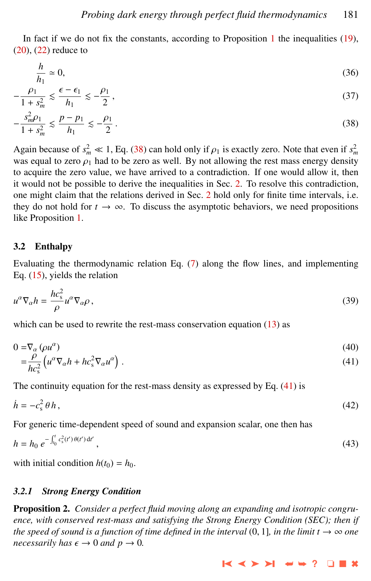<span id="page-6-0"></span>In fact if we do not fix the constants, according to Proposition [1](#page-4-0) the inequalities [\(19\)](#page-3-0),  $(20)$ ,  $(22)$  reduce to

$$
\frac{h}{h_1} \simeq 0,\tag{36}
$$

$$
-\frac{\rho_1}{1+s_m^2} \le \frac{\epsilon-\epsilon_1}{h_1} \le -\frac{\rho_1}{2},\tag{37}
$$

$$
-\frac{s_m^2 \rho_1}{1+s_m^2} \lesssim \frac{p-p_1}{h_1} \lesssim -\frac{\rho_1}{2} \,. \tag{38}
$$

Again because of  $s_m^2 \ll 1$ , Eq. (38) can hold only if  $\rho_1$  is exactly zero. Note that even if  $s_m^2$ <br>was equal to zero  $\alpha$ , had to be zero as well. By not allowing the rest mass energy density was equal to zero  $\rho_1$  had to be zero as well. By not allowing the rest mass energy density to acquire the zero value, we have arrived to a contradiction. If one would allow it, then it would not be possible to derive the inequalities in Sec. [2.](#page-2-0) To resolve this contradiction, one might claim that the relations derived in Sec. [2](#page-2-0) hold only for finite time intervals, i.e. they do not hold for  $t \to \infty$ . To discuss the asymptotic behaviors, we need propositions like Proposition [1.](#page-4-0)

#### 3.2 Enthalpy

Evaluating the thermodynamic relation Eq. [\(7\)](#page-1-0) along the flow lines, and implementing Eq. [\(15\)](#page-2-0), yields the relation

$$
u^{\alpha}\nabla_{\alpha}h = \frac{hc_{s}^{2}}{\rho}u^{\alpha}\nabla_{\alpha}\rho\,,\tag{39}
$$

which can be used to rewrite the rest-mass conservation equation  $(13)$  as

$$
0 = \nabla_{\alpha} (\rho u^{\alpha})
$$
  
=  $\frac{\rho}{hc_s^2} \left( u^{\alpha} \nabla_{\alpha} h + hc_s^2 \nabla_{\alpha} u^{\alpha} \right)$ . (40)

The continuity equation for the rest-mass density as expressed by Eq.  $(41)$  is

$$
\dot{h} = -c_s^2 \theta h, \qquad (42)
$$

For generic time-dependent speed of sound and expansion scalar, one then has

$$
h = h_0 \, e^{-\int_{t_0}^t c_s^2(t')\,\theta(t')\,\mathrm{d}t'}\,,\tag{43}
$$

with initial condition  $h(t_0) = h_0$ .

# *3.2.1 Strong Energy Condition*

Proposition 2. *Consider a perfect fluid moving along an expanding and isotropic congruence, with conserved rest-mass and satisfying the Strong Energy Condition (SEC); then if the speed of sound is a function of time defined in the interval*  $(0, 1]$ *, in the limit t*  $\rightarrow \infty$  *one necessarily has*  $\epsilon \to 0$  *and*  $p \to 0$ *.*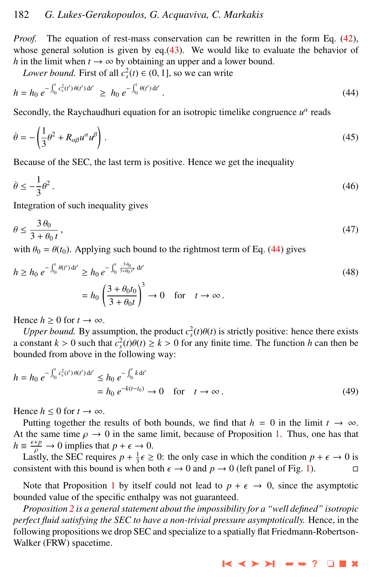<span id="page-7-0"></span>*Proof.* The equation of rest-mass conservation can be rewritten in the form Eq. [\(42\)](#page-6-0), whose general solution is given by  $eq.(43)$  $eq.(43)$ . We would like to evaluate the behavior of *h* in the limit when  $t \to \infty$  by obtaining an upper and a lower bound.

*Lower bound.* First of all  $c_s^2(t) \in (0, 1]$ , so we can write

$$
h = h_0 \ e^{-\int_{t_0}^t c_s^2(t') \theta(t') dt'} \ \geq \ h_0 \ e^{-\int_{t_0}^t \theta(t') dt'} \ . \tag{44}
$$

Secondly, the Raychaudhuri equation for an isotropic timelike congruence  $u^{\alpha}$  reads

$$
\dot{\theta} = -\left(\frac{1}{3}\theta^2 + R_{\alpha\beta}u^{\alpha}u^{\beta}\right). \tag{45}
$$

Because of the SEC, the last term is positive. Hence we get the inequality

$$
\dot{\theta} \le -\frac{1}{3}\theta^2 \,. \tag{46}
$$

Integration of such inequality gives

$$
\theta \le \frac{3\,\theta_0}{3 + \theta_0 \, t},\tag{47}
$$

with  $\theta_0 = \theta(t_0)$ . Applying such bound to the rightmost term of Eq. (44) gives

$$
h \ge h_0 \, e^{-\int_{t_0}^t \theta(t') \, \mathrm{d}t'} \ge h_0 \, e^{-\int_{t_0}^t \frac{3\theta_0}{3 + \theta_0 t'} \, \mathrm{d}t'} \\
= h_0 \left( \frac{3 + \theta_0 t_0}{3 + \theta_0 t} \right)^3 \to 0 \quad \text{for} \quad t \to \infty \,.
$$
\n(48)

Hence  $h \geq 0$  for  $t \to \infty$ .

*Upper bound.* By assumption, the product  $c_s^2(t)\theta(t)$  is strictly positive: hence there exists constant  $k > 0$  such that  $c^2(t)\theta(t) > k > 0$  for any finite time. The function *h* can then be a constant  $k > 0$  such that  $c_s^2(t)\theta(t) \ge k > 0$  for any finite time. The function *h* can then be bounded from above in the following way: bounded from above in the following way:

$$
h = h_0 e^{-\int_{t_0}^t c_s^2(t') \theta(t') dt'} \le h_0 e^{-\int_{t_0}^t k dt'}
$$
  
=  $h_0 e^{-k(t-t_0)} \to 0 \quad \text{for} \quad t \to \infty$ . (49)

Hence  $h \leq 0$  for  $t \to \infty$ .

Putting together the results of both bounds, we find that  $h = 0$  in the limit  $t \to \infty$ . At the same time  $\rho \to 0$  in the same limit, because of Proposition [1.](#page-4-0) Thus, one has that  $h \equiv \frac{\epsilon + p}{\rho} \to 0$  implies that  $p + \epsilon \to 0$ .<br>
I as the SEC requires  $p + \frac{1}{2} \epsilon >$ 

Lastly, the SEC requires  $p + \frac{1}{3} \epsilon \ge 0$ : the only case in which the condition  $p + \epsilon \to 0$  is<br>neistent with this bound is when both  $\epsilon \to 0$  and  $p \to 0$  (left panel of Fig. 1) consistent with this bound is when both  $\epsilon \to 0$  and  $p \to 0$  (left panel of Fig. [1\)](#page-8-0).

Note that Proposition [1](#page-4-0) by itself could not lead to  $p + \epsilon \rightarrow 0$ , since the asymptotic bounded value of the specific enthalpy was not guaranteed.

*Proposition [2](#page-6-0) is a general statement about the impossibility for a "well defined" isotropic perfect fluid satisfying the SEC to have a non-trivial pressure asymptotically.* Hence, in the following propositions we drop SEC and specialize to a spatially flat Friedmann-Robertson-Walker (FRW) spacetime.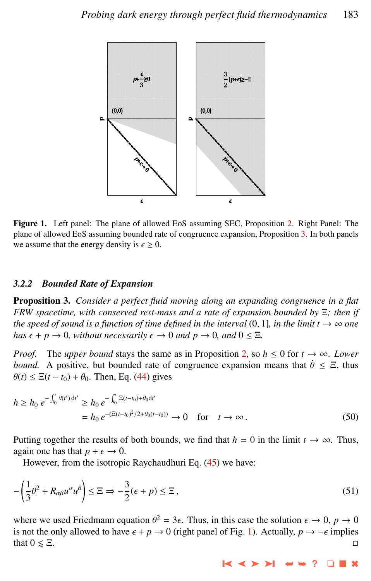<span id="page-8-0"></span>

Figure 1. Left panel: The plane of allowed EoS assuming SEC, Proposition [2.](#page-6-0) Right Panel: The plane of allowed EoS assuming bounded rate of congruence expansion, Proposition 3. In both panels we assume that the energy density is  $\epsilon \geq 0$ .

# *3.2.2 Bounded Rate of Expansion*

Proposition 3. *Consider a perfect fluid moving along an expanding congruence in a flat FRW spacetime, with conserved rest-mass and a rate of expansion bounded by* Ξ*; then if the speed of sound is a function of time defined in the interval* (0, 1]*, in the limit t*  $\rightarrow \infty$  *one has*  $\epsilon + p \rightarrow 0$ *, without necessarily*  $\epsilon \rightarrow 0$  *and*  $p \rightarrow 0$ *, and*  $0 \leq \Xi$ *.* 

*Proof.* The *upper bound* stays the same as in Proposition [2,](#page-6-0) so  $h \le 0$  for  $t \to \infty$ . *Lower bound.* A positive, but bounded rate of congruence expansion means that  $\dot{\theta} \leq \Xi$ , thus  $\theta(t) \leq \Xi(t - t_0) + \theta_0$ . Then, Eq. [\(44\)](#page-7-0) gives

$$
h \ge h_0 \, e^{-\int_0^t \theta(t') \, dt'} \ge h_0 \, e^{-\int_0^t \Xi(t-t_0) + \theta_0 \, dt'}
$$
\n
$$
= h_0 \, e^{-(\Xi(t-t_0)^2/2 + \theta_0(t-t_0))} \to 0 \quad \text{for} \quad t \to \infty \, . \tag{50}
$$

Putting together the results of both bounds, we find that  $h = 0$  in the limit  $t \to \infty$ . Thus, again one has that  $p + \epsilon \rightarrow 0$ .

However, from the isotropic Raychaudhuri Eq. [\(45\)](#page-7-0) we have:

$$
-\left(\frac{1}{3}\theta^2 + R_{\alpha\beta}u^{\alpha}u^{\beta}\right) \le \Xi \Rightarrow -\frac{3}{2}(\epsilon + p) \le \Xi\,,\tag{51}
$$

where we used Friedmann equation  $\theta^2 = 3\epsilon$ . Thus, in this case the solution  $\epsilon \to 0$ ,  $p \to 0$ <br>is not the only allowed to have  $\epsilon + p \to 0$  (right panel of Fig. 1). Actually,  $p \to -\epsilon$  implies is not the only allowed to have  $\epsilon + p \to 0$  (right panel of Fig. 1). Actually,  $p \to -\epsilon$  implies that  $0 \le \Xi$ . that  $0 \leq \Xi$ .